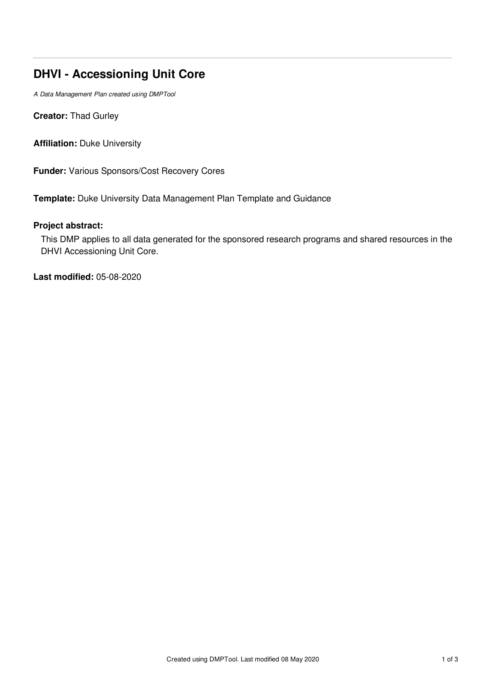# **DHVI - Accessioning Unit Core**

*A Data Management Plan created using DMPTool*

**Creator:** Thad Gurley

**Affiliation:** Duke University

**Funder:** Various Sponsors/Cost Recovery Cores

**Template:** Duke University Data Management Plan Template and Guidance

# **Project abstract:**

This DMP applies to all data generated for the sponsored research programs and shared resources in the DHVI Accessioning Unit Core.

**Last modified:** 05-08-2020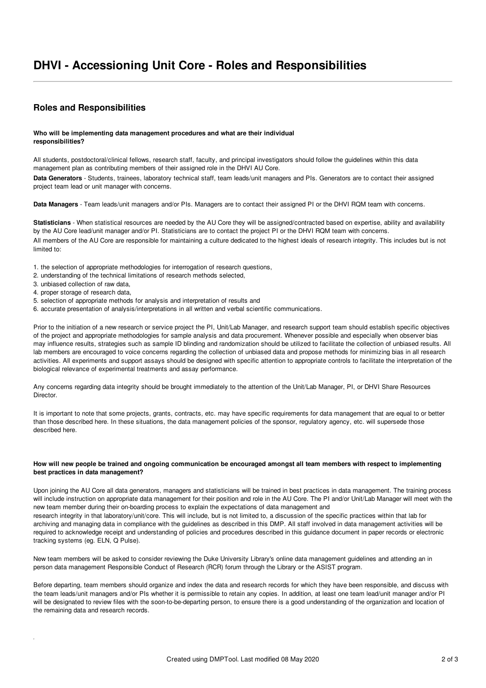# **Roles and Responsibilities**

## **Who will be implementing data management procedures and what are their individual responsibilities?**

All students, postdoctoral/clinical fellows, research staff, faculty, and principal investigators should follow the guidelines within this data management plan as contributing members of their assigned role in the DHVI AU Core.

**Data Generators** - Students, trainees, laboratory technical staff, team leads/unit managers and PIs. Generators are to contact their assigned project team lead or unit manager with concerns.

**Data Managers** - Team leads/unit managers and/or PIs. Managers are to contact their assigned PI or the DHVI RQM team with concerns.

**Statisticians** - When statistical resources are needed by the AU Core they will be assigned/contracted based on expertise, ability and availability by the AU Core lead/unit manager and/or PI. Statisticians are to contact the project PI or the DHVI RQM team with concerns. All members of the AU Core are responsible for maintaining a culture dedicated to the highest ideals of research integrity. This includes but is not limited to:

- 1. the selection of appropriate methodologies for interrogation of research questions,
- 2. understanding of the technical limitations of research methods selected,
- 3. unbiased collection of raw data,
- 4. proper storage of research data,
- 5. selection of appropriate methods for analysis and interpretation of results and
- 6. accurate presentation of analysis/interpretations in all written and verbal scientific communications.

Prior to the initiation of a new research or service project the PI, Unit/Lab Manager, and research support team should establish specific objectives of the project and appropriate methodologies for sample analysis and data procurement. Whenever possible and especially when observer bias may influence results, strategies such as sample ID blinding and randomization should be utilized to facilitate the collection of unbiased results. All lab members are encouraged to voice concerns regarding the collection of unbiased data and propose methods for minimizing bias in all research activities. All experiments and support assays should be designed with specific attention to appropriate controls to facilitate the interpretation of the biological relevance of experimental treatments and assay performance.

Any concerns regarding data integrity should be brought immediately to the attention of the Unit/Lab Manager, PI, or DHVI Share Resources **Director** 

It is important to note that some projects, grants, contracts, etc. may have specific requirements for data management that are equal to or better than those described here. In these situations, the data management policies of the sponsor, regulatory agency, etc. will supersede those described here.

## How will new people be trained and ongoing communication be encouraged amongst all team members with respect to implementing **best practices in data management?**

Upon joining the AU Core all data generators, managers and statisticians will be trained in best practices in data management. The training process will include instruction on appropriate data management for their position and role in the AU Core. The PI and/or Unit/Lab Manager will meet with the new team member during their on-boarding process to explain the expectations of data management and research integrity in that laboratory/unit/core. This will include, but is not limited to, a discussion of the specific practices within that lab for archiving and managing data in compliance with the guidelines as described in this DMP. All staff involved in data management activities will be required to acknowledge receipt and understanding of policies and procedures described in this guidance document in paper records or electronic tracking systems (eg. ELN, Q Pulse).

New team members will be asked to consider reviewing the Duke University Library's online data management guidelines and attending an in person data management Responsible Conduct of Research (RCR) forum through the Library or the ASIST program.

Before departing, team members should organize and index the data and research records for which they have been responsible, and discuss with the team leads/unit managers and/or PIs whether it is permissible to retain any copies. In addition, at least one team lead/unit manager and/or PI will be designated to review files with the soon-to-be-departing person, to ensure there is a good understanding of the organization and location of the remaining data and research records.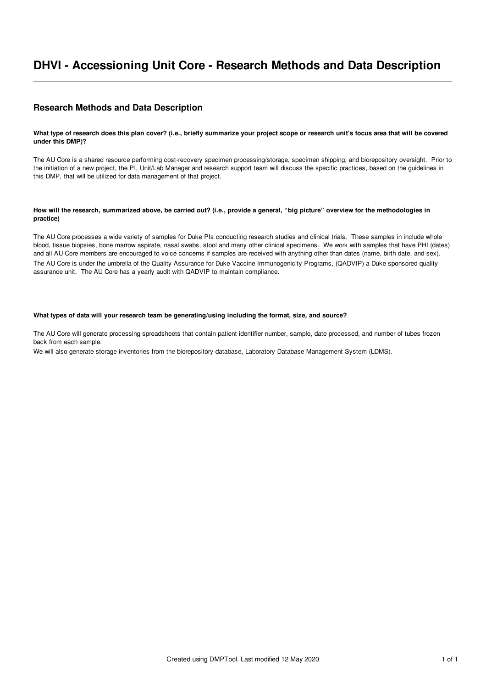# **DHVI - Accessioning Unit Core - Research Methods and Data Description**

# **Research Methods and Data Description**

## What type of research does this plan cover? (i.e., briefly summarize your project scope or research unit's focus area that will be covered **under this DMP)?**

The AU Core is a shared resource performing cost-recovery specimen processing/storage, specimen shipping, and biorepository oversight. Prior to the initiation of a new project, the PI, Unit/Lab Manager and research support team will discuss the specific practices, based on the guidelines in this DMP, that will be utilized for data management of that project.

## How will the research, summarized above, be carried out? (i.e., provide a general, "big picture" overview for the methodologies in **practice)**

The AU Core processes a wide variety of samples for Duke PIs conducting research studies and clinical trials. These samples in include whole blood, tissue biopsies, bone marrow aspirate, nasal swabs, stool and many other clinical specimens. We work with samples that have PHI (dates) and all AU Core members are encouraged to voice concerns if samples are received with anything other than dates (name, birth date, and sex). The AU Core is under the umbrella of the Quality Assurance for Duke Vaccine Immunogenicity Programs, (QADVIP) a Duke sponsored quality assurance unit. The AU Core has a yearly audit with QADVIP to maintain compliance.

## **What types of data will your research team be generating/using including the format, size, and source?**

The AU Core will generate processing spreadsheets that contain patient identifier number, sample, date processed, and number of tubes frozen back from each sample.

We will also generate storage inventories from the biorepository database, Laboratory Database Management System (LDMS).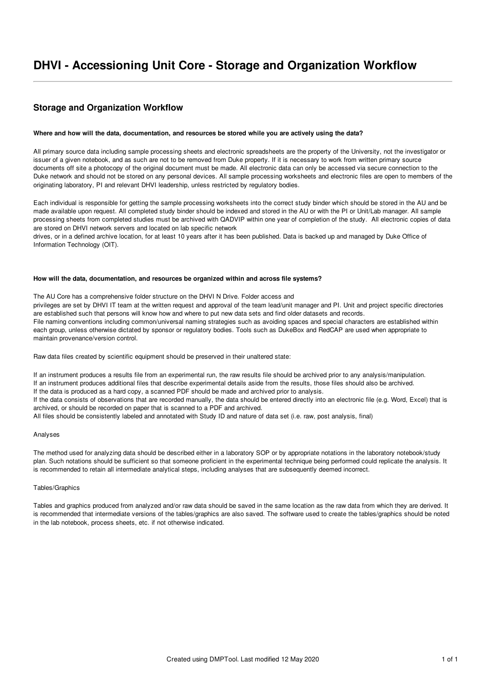# **DHVI - Accessioning Unit Core - Storage and Organization Workflow**

# **Storage and Organization Workflow**

### Where and how will the data, documentation, and resources be stored while you are actively using the data?

All primary source data including sample processing sheets and electronic spreadsheets are the property of the University, not the investigator or issuer of a given notebook, and as such are not to be removed from Duke property. If it is necessary to work from written primary source documents off site a photocopy of the original document must be made. All electronic data can only be accessed via secure connection to the Duke network and should not be stored on any personal devices. All sample processing worksheets and electronic files are open to members of the originating laboratory, PI and relevant DHVI leadership, unless restricted by regulatory bodies.

Each individual is responsible for getting the sample processing worksheets into the correct study binder which should be stored in the AU and be made available upon request. All completed study binder should be indexed and stored in the AU or with the PI or Unit/Lab manager. All sample processing sheets from completed studies must be archived with QADVIP within one year of completion of the study. All electronic copies of data are stored on DHVI network servers and located on lab specific network

drives, or in a defined archive location, for at least 10 years after it has been published. Data is backed up and managed by Duke Office of Information Technology (OIT).

#### **How will the data, documentation, and resources be organized within and across file systems?**

The AU Core has a comprehensive folder structure on the DHVI N Drive. Folder access and

privileges are set by DHVI IT team at the written request and approval of the team lead/unit manager and PI. Unit and project specific directories are established such that persons will know how and where to put new data sets and find older datasets and records. File naming conventions including common/universal naming strategies such as avoiding spaces and special characters are established within each group, unless otherwise dictated by sponsor or regulatory bodies. Tools such as DukeBox and RedCAP are used when appropriate to maintain provenance/version control.

Raw data files created by scientific equipment should be preserved in their unaltered state:

If an instrument produces a results file from an experimental run, the raw results file should be archived prior to any analysis/manipulation. If an instrument produces additional files that describe experimental details aside from the results, those files should also be archived.

If the data is produced as a hard copy, a scanned PDF should be made and archived prior to analysis.

If the data consists of observations that are recorded manually, the data should be entered directly into an electronic file (e.g. Word, Excel) that is archived, or should be recorded on paper that is scanned to a PDF and archived.

All files should be consistently labeled and annotated with Study ID and nature of data set (i.e. raw, post analysis, final)

#### Analyses

The method used for analyzing data should be described either in a laboratory SOP or by appropriate notations in the laboratory notebook/study plan. Such notations should be sufficient so that someone proficient in the experimental technique being performed could replicate the analysis. It is recommended to retain all intermediate analytical steps, including analyses that are subsequently deemed incorrect.

## Tables/Graphics

Tables and graphics produced from analyzed and/or raw data should be saved in the same location as the raw data from which they are derived. It is recommended that intermediate versions of the tables/graphics are also saved. The software used to create the tables/graphics should be noted in the lab notebook, process sheets, etc. if not otherwise indicated.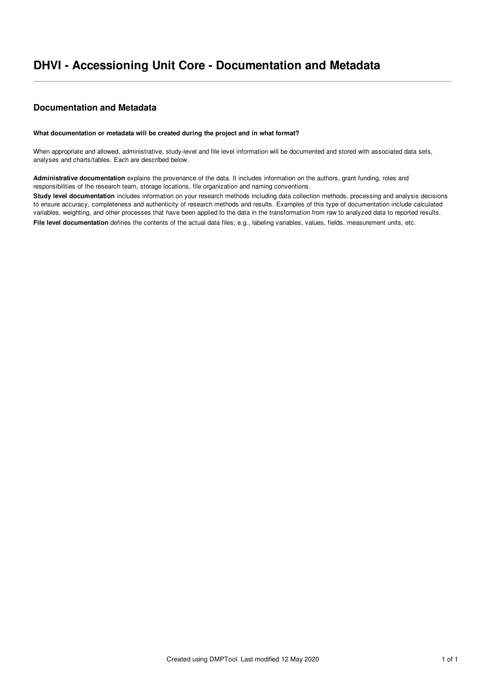# **Documentation and Metadata**

## **What documentation or metadata will be created during the project and in what format?**

When appropriate and allowed, administrative, study-level and file level information will be documented and stored with associated data sets, analyses and charts/tables. Each are described below.

**Administrative documentation** explains the provenance of the data. It includes information on the authors, grant funding, roles and responsibilities of the research team, storage locations, file organization and naming conventions.

**Study level documentation** includes information on your research methods including data collection methods, processing and analysis decisions to ensure accuracy, completeness and authenticity of research methods and results. Examples of this type of documentation include calculated variables, weighting, and other processes that have been applied to the data in the transformation from raw to analyzed data to reported results. **File level documentation** defines the contents of the actual data files; e.g., labeling variables, values, fields, measurement units, etc.